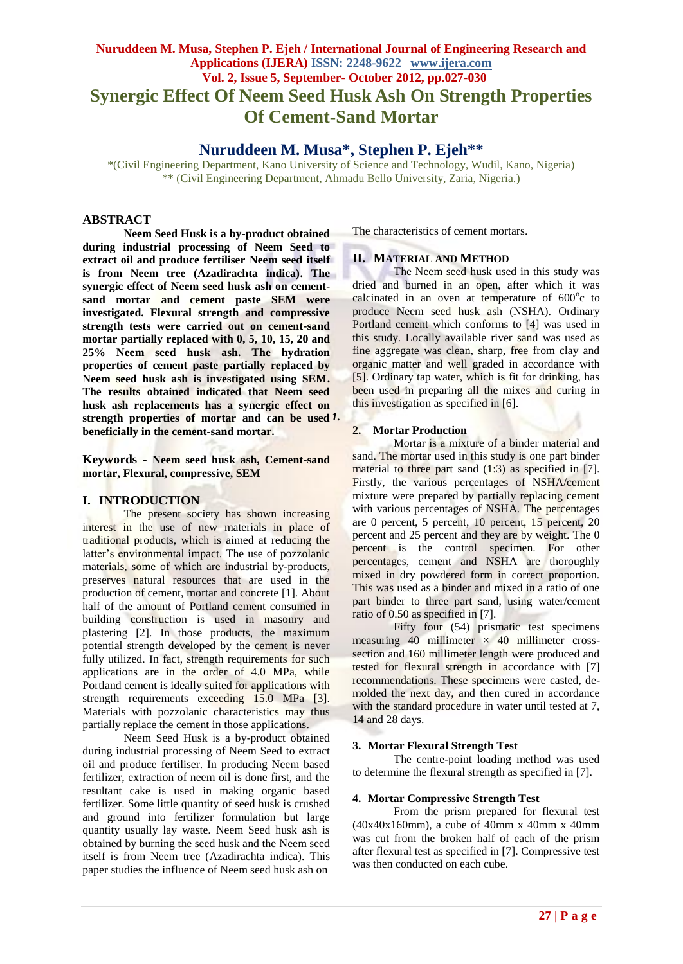# **Nuruddeen M. Musa, Stephen P. Ejeh / International Journal of Engineering Research and Applications (IJERA) ISSN: 2248-9622 www.ijera.com Vol. 2, Issue 5, September- October 2012, pp.027-030 Synergic Effect Of Neem Seed Husk Ash On Strength Properties Of Cement-Sand Mortar**

**Nuruddeen M. Musa\*, Stephen P. Ejeh\*\***

\*(Civil Engineering Department, Kano University of Science and Technology, Wudil, Kano, Nigeria) \*\* (Civil Engineering Department, Ahmadu Bello University, Zaria, Nigeria.)

## **ABSTRACT**

**Neem Seed Husk is a by-product obtained during industrial processing of Neem Seed to extract oil and produce fertiliser Neem seed itself is from Neem tree (Azadirachta indica). The synergic effect of Neem seed husk ash on cementsand mortar and cement paste SEM were investigated. Flexural strength and compressive strength tests were carried out on cement-sand mortar partially replaced with 0, 5, 10, 15, 20 and 25% Neem seed husk ash. The hydration properties of cement paste partially replaced by Neem seed husk ash is investigated using SEM. The results obtained indicated that Neem seed husk ash replacements has a synergic effect on strength properties of mortar and can be used**  *1.* **beneficially in the cement-sand mortar.**

**Keywords - Neem seed husk ash, Cement-sand mortar, Flexural, compressive, SEM**

#### **I. INTRODUCTION**

The present society has shown increasing interest in the use of new materials in place of traditional products, which is aimed at reducing the latter's environmental impact. The use of pozzolanic materials, some of which are industrial by-products, preserves natural resources that are used in the production of cement, mortar and concrete [1]. About half of the amount of Portland cement consumed in building construction is used in masonry and plastering [2]. In those products, the maximum potential strength developed by the cement is never fully utilized. In fact, strength requirements for such applications are in the order of 4.0 MPa, while Portland cement is ideally suited for applications with strength requirements exceeding 15.0 MPa [3]. Materials with pozzolanic characteristics may thus partially replace the cement in those applications.

Neem Seed Husk is a by-product obtained during industrial processing of Neem Seed to extract oil and produce fertiliser. In producing Neem based fertilizer, extraction of neem oil is done first, and the resultant cake is used in making organic based fertilizer. Some little quantity of seed husk is crushed and ground into fertilizer formulation but large quantity usually lay waste. Neem Seed husk ash is obtained by burning the seed husk and the Neem seed itself is from Neem tree (Azadirachta indica). This paper studies the influence of Neem seed husk ash on

The characteristics of cement mortars.

## **II. MATERIAL AND METHOD**

The Neem seed husk used in this study was dried and burned in an open, after which it was calcinated in an oven at temperature of  $600^{\circ}$ c to produce Neem seed husk ash (NSHA). Ordinary Portland cement which conforms to [4] was used in this study. Locally available river sand was used as fine aggregate was clean, sharp, free from clay and organic matter and well graded in accordance with [5]. Ordinary tap water, which is fit for drinking, has been used in preparing all the mixes and curing in this investigation as specified in [6].

#### **2. Mortar Production**

Mortar is a mixture of a binder material and sand. The mortar used in this study is one part binder material to three part sand (1:3) as specified in [7]. Firstly, the various percentages of NSHA/cement mixture were prepared by partially replacing cement with various percentages of NSHA. The percentages are 0 percent, 5 percent, 10 percent, 15 percent, 20 percent and 25 percent and they are by weight. The 0 percent is the control specimen. For other percentages, cement and NSHA are thoroughly mixed in dry powdered form in correct proportion. This was used as a binder and mixed in a ratio of one part binder to three part sand, using water/cement ratio of 0.50 as specified in [7].

Fifty four (54) prismatic test specimens measuring 40 millimeter  $\times$  40 millimeter crosssection and 160 millimeter length were produced and tested for flexural strength in accordance with [7] recommendations. These specimens were casted, demolded the next day, and then cured in accordance with the standard procedure in water until tested at 7, 14 and 28 days.

#### **3. Mortar Flexural Strength Test**

The centre-point loading method was used to determine the flexural strength as specified in [7].

#### **4. Mortar Compressive Strength Test**

From the prism prepared for flexural test  $(40x40x160mm)$ , a cube of  $40mm \times 40mm \times 40mm$ was cut from the broken half of each of the prism after flexural test as specified in [7]. Compressive test was then conducted on each cube.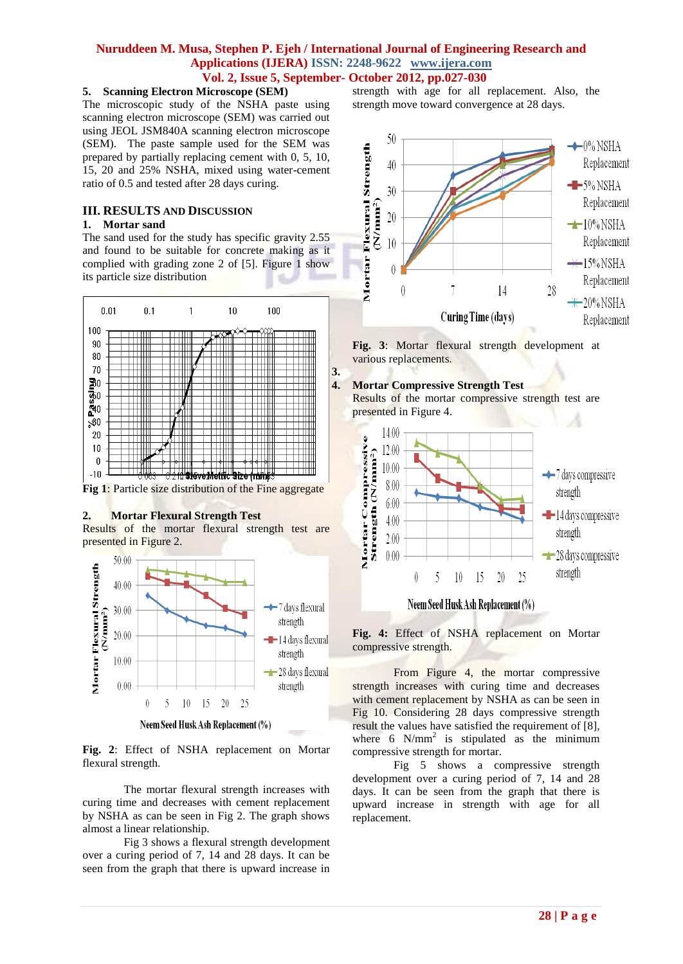## **Nuruddeen M. Musa, Stephen P. Ejeh / International Journal of Engineering Research and Applications (IJERA) ISSN: 2248-9622 www.ijera.com Vol. 2, Issue 5, September- October 2012, pp.027-030**

**3.**

## **5. Scanning Electron Microscope (SEM)**

The microscopic study of the NSHA paste using scanning electron microscope (SEM) was carried out using JEOL JSM840A scanning electron microscope (SEM). The paste sample used for the SEM was prepared by partially replacing cement with 0, 5, 10, 15, 20 and 25% NSHA, mixed using water-cement ratio of 0.5 and tested after 28 days curing.

## **III. RESULTS AND DISCUSSION**

#### **1. Mortar sand**

The sand used for the study has specific gravity 2.55 and found to be suitable for concrete making as it complied with grading zone 2 of [5]. Figure 1 show its particle size distribution



**Fig 1**: Particle size distribution of the Fine aggregate

#### **2. Mortar Flexural Strength Test**

Results of the mortar flexural strength test are presented in Figure 2.



**Fig. 2**: Effect of NSHA replacement on Mortar

flexural strength. The mortar flexural strength increases with

curing time and decreases with cement replacement by NSHA as can be seen in Fig 2. The graph shows almost a linear relationship.

Fig 3 shows a flexural strength development over a curing period of 7, 14 and 28 days. It can be seen from the graph that there is upward increase in strength with age for all replacement. Also, the strength move toward convergence at 28 days.



**Fig. 3**: Mortar flexural strength development at various replacements*.*

#### **4. Mortar Compressive Strength Test**

Results of the mortar compressive strength test are presented in Figure 4.



**Fig. 4:** Effect of NSHA replacement on Mortar compressive strength.

From Figure 4, the mortar compressive strength increases with curing time and decreases with cement replacement by NSHA as can be seen in Fig 10. Considering 28 days compressive strength result the values have satisfied the requirement of [8], where  $6 \text{ N/mm}^2$  is stipulated as the minimum compressive strength for mortar.

Fig 5 shows a compressive strength development over a curing period of 7, 14 and 28 days. It can be seen from the graph that there is upward increase in strength with age for all replacement.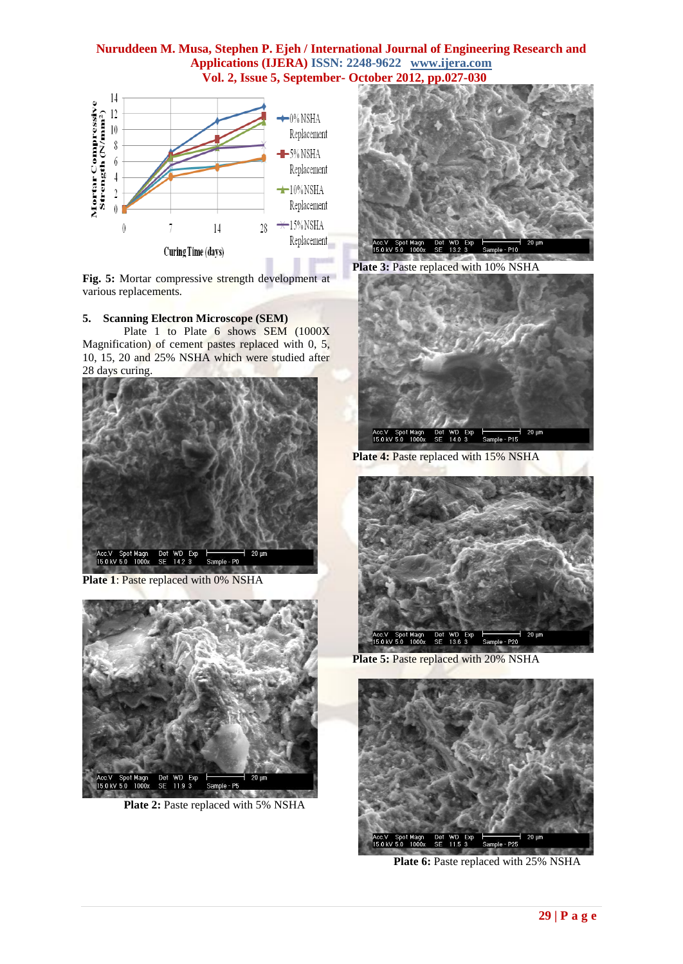## **Nuruddeen M. Musa, Stephen P. Ejeh / International Journal of Engineering Research and Applications (IJERA) ISSN: 2248-9622 www.ijera.com Vol. 2, Issue 5, September- October 2012, pp.027-030**



**Fig. 5:** Mortar compressive strength development at various replacements*.*

## **5. Scanning Electron Microscope (SEM)**

Plate 1 to Plate 6 shows SEM (1000X Magnification) of cement pastes replaced with 0, 5, 10, 15, 20 and 25% NSHA which were studied after 28 days curing.



**Plate 1**: Paste replaced with 0% NSHA



**Plate 2:** Paste replaced with 5% NSHA



**Plate 3:** Paste replaced with 10% NSHA

![](_page_2_Picture_11.jpeg)

**Plate 4:** Paste replaced with 15% NSHA

![](_page_2_Picture_13.jpeg)

**Plate 5:** Paste replaced with 20% NSHA

![](_page_2_Picture_15.jpeg)

**Plate 6:** Paste replaced with 25% NSHA